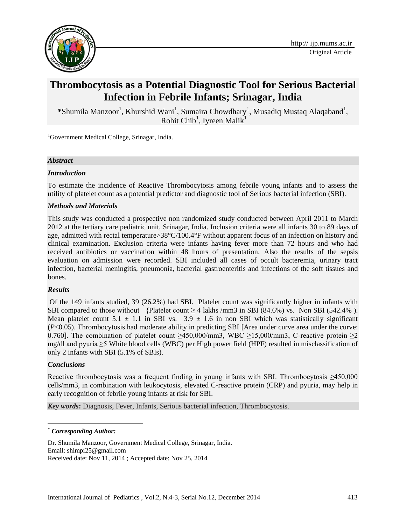

# **Thrombocytosis as a Potential Diagnostic Tool for Serious Bacterial Infection in Febrile Infants; Srinagar, India**

\*Shumila Manzoor<sup>1</sup>, Khurshid Wani<sup>1</sup>, Sumaira Chowdhary<sup>1</sup>, Musadiq Mustaq Alaqaband<sup>1</sup>, Rohit Chib<sup>1</sup>, Iyreen Malik<sup>1</sup>

<sup>1</sup>Government Medical College, Srinagar, India.

### *Abstract*

### *Introduction*

To estimate the incidence of Reactive Thrombocytosis among febrile young infants and to assess the utility of platelet count as a potential predictor and diagnostic tool of Serious bacterial infection (SBI).

### *Methods and Materials*

This study was conducted a prospective non randomized study conducted between April 2011 to March 2012 at the tertiary care pediatric unit, Srinagar, India. Inclusion criteria were all infants 30 to 89 days of age, admitted with rectal temperature>38°C/100.4°F without apparent focus of an infection on history and clinical examination. Exclusion criteria were infants having fever more than 72 hours and who had received antibiotics or vaccination within 48 hours of presentation. Also the results of the sepsis evaluation on admission were recorded. SBI included all cases of occult bacteremia, urinary tract infection, bacterial meningitis, pneumonia, bacterial gastroenteritis and infections of the soft tissues and bones.

### *Results*

Of the 149 infants studied, 39 (26.2%) had SBI. Platelet count was significantly higher in infants with SBI compared to those without {Platelet count  $\geq 4$  lakhs /mm3 in SBI (84.6%) vs. Non SBI (542.4%). Mean platelet count  $5.1 \pm 1.1$  in SBI vs.  $3.9 \pm 1.6$  in non SBI which was statistically significant (*P*<0.05). Thrombocytosis had moderate ability in predicting SBI [Area under curve area under the curve: 0.760]. The combination of platelet count  $\geq$ 450,000/mm3, WBC  $\geq$ 15,000/mm3, C-reactive protein  $\geq$ 2 mg/dl and pyuria ≥5 White blood cells (WBC) per High power field (HPF) resulted in misclassification of only 2 infants with SBI (5.1% of SBIs).

### *Conclusions*

 $\overline{\phantom{a}}$ 

Reactive thrombocytosis was a frequent finding in young infants with SBI. Thrombocytosis ≥450,000 cells/mm3, in combination with leukocytosis, elevated C-reactive protein (CRP) and pyuria, may help in early recognition of febrile young infants at risk for SBI.

*Key words***:** Diagnosis, Fever, Infants, Serious bacterial infection, Thrombocytosis.

Dr. Shumila Manzoor, Government Medical College, Srinagar, India. Email: [shimpi25@gmail.com](https://mail.mums.ac.ir/owa/redir.aspx?C=uqGlmXI-7ECn9oWv1T1OwiD4rmlj49FIXxmJGQN-wt4YXo3HFg4FEceqCNJLGHT-_iLzuEn8Lqk.&URL=mailto%3ashimpi25%40gmail.com) Received date: Nov 11, 2014 ; Accepted date: Nov 25, 2014

<sup>\*</sup> *Corresponding Author:*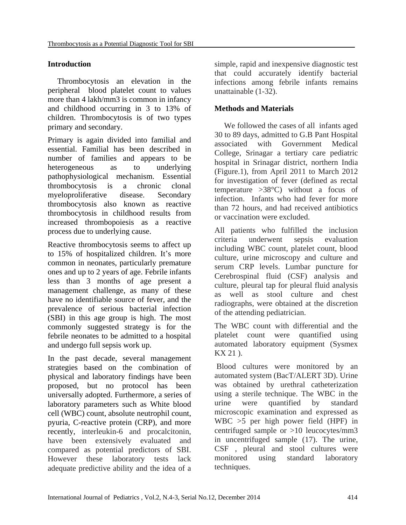# **Introduction**

Thrombocytosis an elevation in the peripheral blood platelet count to values more than 4 lakh/mm3 is common in infancy and childhood occurring in 3 to 13% of children. Thrombocytosis is of two types primary and secondary.

Primary is again divided into familial and essential. Familial has been described in number of families and appears to be heterogeneous as to underlying pathophysiological mechanism. Essential thrombocytosis is a chronic clonal myeloproliferative disease. Secondary thrombocytosis also known as reactive thrombocytosis in childhood results from increased thrombopoiesis as a reactive process due to underlying cause.

Reactive thrombocytosis seems to affect up to 15% of hospitalized children. It's more common in neonates, particularly premature ones and up to 2 years of age. Febrile infants less than 3 months of age present a management challenge, as many of these have no identifiable source of fever, and the prevalence of serious bacterial infection (SBI) in this age group is high. The most commonly suggested strategy is for the febrile neonates to be admitted to a hospital and undergo full sepsis work up.

In the past decade, several management strategies based on the combination of physical and laboratory findings have been proposed, but no protocol has been universally adopted. Furthermore, a series of laboratory parameters such as White blood cell (WBC) count, absolute neutrophil count, pyuria, C-reactive protein (CRP), and more recently, interleukin-6 and procalcitonin, have been extensively evaluated and compared as potential predictors of SBI. However these laboratory tests lack adequate predictive ability and the idea of a simple, rapid and inexpensive diagnostic test that could accurately identify bacterial infections among febrile infants remains unattainable (1-32).

# **Methods and Materials**

We followed the cases of all infants aged 30 to 89 days, admitted to G.B Pant Hospital associated with Government Medical College, Srinagar a tertiary care pediatric hospital in Srinagar district, northern India (Figure.1), from April 2011 to March 2012 for investigation of fever (defined as rectal temperature >38°C) without a focus of infection. Infants who had fever for more than 72 hours, and had received antibiotics or vaccination were excluded.

All patients who fulfilled the inclusion criteria underwent sepsis evaluation including WBC count, platelet count, blood culture, urine microscopy and culture and serum CRP levels. Lumbar puncture for Cerebrospinal fluid (CSF) analysis and culture, pleural tap for pleural fluid analysis as well as stool culture and chest radiographs, were obtained at the discretion of the attending pediatrician.

The WBC count with differential and the platelet count were quantified using automated laboratory equipment (Sysmex KX 21 ).

Blood cultures were monitored by an automated system (BacT/ALERT 3D). Urine was obtained by urethral catheterization using a sterile technique. The WBC in the urine were quantified by standard microscopic examination and expressed as WBC >5 per high power field (HPF) in centrifuged sample or >10 leucocytes/mm3 in uncentrifuged sample (17). The urine, CSF , pleural and stool cultures were monitored using standard laboratory techniques.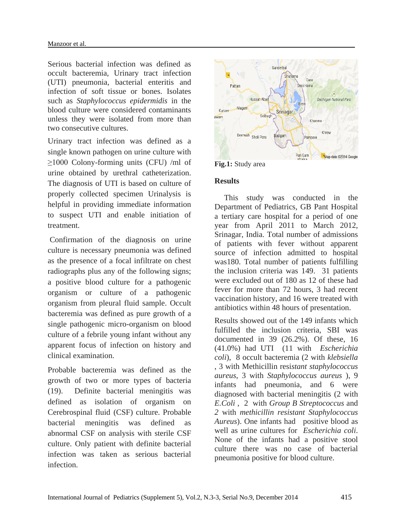Serious bacterial infection was defined as occult bacteremia, Urinary tract infection (UTI) pneumonia, bacterial enteritis and infection of soft tissue or bones. Isolates such as *Staphylococcus epidermidis* in the blood culture were considered contaminants unless they were isolated from more than two consecutive cultures.

Urinary tract infection was defined as a single known pathogen on urine culture with ≥1000 Colony-forming units (CFU) /ml of urine obtained by urethral catheterization. The diagnosis of UTI is based on culture of properly collected specimen Urinalysis is helpful in providing immediate information to suspect UTI and enable initiation of treatment.

Confirmation of the diagnosis on urine culture is necessary pneumonia was defined as the presence of a focal infiltrate on chest radiographs plus any of the following signs; a positive blood culture for a pathogenic organism or culture of a pathogenic organism from pleural fluid sample. Occult bacteremia was defined as pure growth of a single pathogenic micro-organism on blood culture of a febrile young infant without any apparent focus of infection on history and clinical examination.

Probable bacteremia was defined as the growth of two or more types of bacteria (19). Definite bacterial meningitis was defined as isolation of organism on Cerebrospinal fluid (CSF) culture. Probable bacterial meningitis was defined as abnormal CSF on analysis with sterile CSF culture. Only patient with definite bacterial infection was taken as serious bacterial infection.



**Fig.1:** Study area

# **Results**

This study was conducted in the Department of Pediatrics, GB Pant Hospital a tertiary care hospital for a period of one year from April 2011 to March 2012, Srinagar, India. Total number of admissions of patients with fever without apparent source of infection admitted to hospital was180. Total number of patients fulfilling the inclusion criteria was 149. 31 patients were excluded out of 180 as 12 of these had fever for more than 72 hours, 3 had recent vaccination history, and 16 were treated with antibiotics within 48 hours of presentation.

Results showed out of the 149 infants which fulfilled the inclusion criteria, SBI was documented in 39 (26.2%). Of these, 16 (41.0%) had UTI (11 with *Escherichia coli*), 8 occult bacteremia (2 with *klebsiella*  , 3 with Methicillin resi*stant staphylococcus aureus*, 3 with *Staphylococcus aureus* ), 9 infants had pneumonia, and 6 were diagnosed with bacterial meningitis (2 with *E.Coli* , 2 with *Group B Streptococcus* and *2* with *methicillin resistant Staphylococcus Aureus*). One infants had positive blood as well as urine cultures for *Escherichia coli*. None of the infants had a positive stool culture there was no case of bacterial pneumonia positive for blood culture.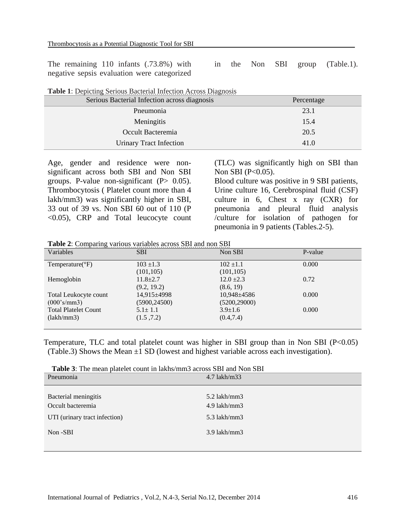The remaining 110 infants (.73.8%) with negative sepsis evaluation were categorized in the Non SBI group (Table.1).

### **Table 1**: Depicting Serious Bacterial Infection Across Diagnosis

| Serious Bacterial Infection across diagnosis | Percentage |
|----------------------------------------------|------------|
| Pneumonia                                    | 23.1       |
| Meningitis                                   | 15.4       |
| Occult Bacteremia                            | 20.5       |
| <b>Urinary Tract Infection</b>               | 41.0       |

Age, gender and residence were nonsignificant across both SBI and Non SBI groups. P-value non-significant  $(P> 0.05)$ . Thrombocytosis ( Platelet count more than 4 lakh/mm3) was significantly higher in SBI, 33 out of 39 vs. Non SBI 60 out of 110 (P <0.05), CRP and [Total leucocyte count](http://www.google.com/url?sa=t&rct=j&q=&esrc=s&source=web&cd=1&cad=rja&uact=8&ved=0CB0QFjAA&url=http%3A%2F%2Fwww.ncbi.nlm.nih.gov%2Fpmc%2Farticles%2FPMC2702981%2F&ei=Q2SAVLDPHILoOJrugdgF&usg=AFQjCNGhPUELDU4wQ78LWDIxvsTJt303bA)

(TLC) was significantly high on SBI than Non SBI (P<0.05).

Blood culture was positive in 9 SBI patients, Urine culture 16, Cerebrospinal fluid (CSF) culture in 6, Chest x ray (CXR) for pneumonia and pleural fluid analysis /culture for isolation of pathogen for pneumonia in 9 patients (Tables.2-5).

**Table 2**: Comparing various variables across SBI and non SBI

| Variables                    | <b>SBI</b>     | Non SBI           | P-value |
|------------------------------|----------------|-------------------|---------|
| Temperature( ${}^{\circ}$ F) | $103 + 1.3$    | $102 + 1.1$       | 0.000   |
|                              | (101, 105)     | (101, 105)        |         |
| Hemoglobin                   | $11.8 \pm 2.7$ | $12.0 \pm 2.3$    | 0.72    |
|                              | (9.2, 19.2)    | (8.6, 19)         |         |
| Total Leukocyte count        | 14,915±4998    | $10,948 \pm 4586$ | 0.000   |
| (000's/mm3)                  | (5900, 24500)  | (5200, 29000)     |         |
| <b>Total Platelet Count</b>  | $5.1 \pm 1.1$  | $3.9 \pm 1.6$     | 0.000   |
| (lakh/mm3)                   | (1.5, 7.2)     | (0.4, 7.4)        |         |
|                              |                |                   |         |

 Temperature, TLC and total platelet count was higher in SBI group than in Non SBI (P<0.05) (Table.3) Shows the Mean ±1 SD (lowest and highest variable across each investigation).

| <b>Table 3:</b> The mean platelet count in lakhs/mm3 across SBI and Non SBI |
|-----------------------------------------------------------------------------|
|-----------------------------------------------------------------------------|

| Twore of the mean platelet count in ranno minds across SDI and I foll SDI |
|---------------------------------------------------------------------------|
| $4.7$ lakh/m $33$                                                         |
| $5.2$ lakh/mm $3$<br>$4.9$ lakh/mm $3$                                    |
| $5.3$ lakh/mm $3$                                                         |
| $3.9$ lakh/mm $3$                                                         |
|                                                                           |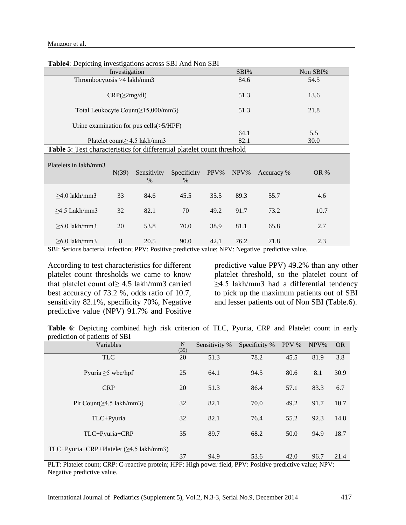| <b>Table 4:</b> Depicting investigations across SBI And Non SBI                |         |          |  |  |
|--------------------------------------------------------------------------------|---------|----------|--|--|
| Investigation                                                                  | $SBI\%$ | Non SBI% |  |  |
| Thrombocytosis $>4$ lakh/mm3                                                   | 84.6    | 54.5     |  |  |
| $CRP(\geq 2mg/dl)$                                                             | 51.3    | 13.6     |  |  |
| Total Leukocyte Count( $\geq$ 15,000/mm3)                                      | 51.3    | 21.8     |  |  |
| Urine examination for pus cells $($ >5/HPF $)$                                 |         |          |  |  |
|                                                                                | 64.1    | 5.5      |  |  |
| Platelet count $\geq 4.5$ lakh/mm3                                             | 82.1    | 30.0     |  |  |
| <b>Table 5:</b> Test characteristics for differential platelet count threshold |         |          |  |  |
|                                                                                |         |          |  |  |

| <b>Table4:</b> Depicting investigations across SBI And Non SBI |  |
|----------------------------------------------------------------|--|
|                                                                |  |

| Platelets in lakh/mm3 | N(39) | Sensitivity<br>$\%$ | Specificity<br>$\%$ | PPV% | NPV% | Accuracy % | <b>OR</b> % |
|-----------------------|-------|---------------------|---------------------|------|------|------------|-------------|
| $>4.0$ lakh/mm3       | 33    | 84.6                | 45.5                | 35.5 | 89.3 | 55.7       | 4.6         |
| $>4.5$ Lakh/mm3       | 32    | 82.1                | 70                  | 49.2 | 91.7 | 73.2       | 10.7        |
| $>5.0$ lakh/mm3       | 20    | 53.8                | 70.0                | 38.9 | 81.1 | 65.8       | 2.7         |
| $>6.0$ lakh/mm3       | 8     | 20.5                | 90.0                | 42.1 | 76.2 | 71.8       | 2.3         |

SBI: Serious bacterial infection; PPV: Positive predictive value; NPV: Negative predictive value.

According to test characteristics for different platelet count thresholds we came to know that platelet count of≥ 4.5 lakh/mm3 carried best accuracy of 73.2 %, odds ratio of 10.7, sensitivity 82.1%, specificity 70%, Negative predictive value (NPV) 91.7% and Positive

predictive value PPV) 49.2% than any other platelet threshold, so the platelet count of ≥4.5 lakh/mm3 had a differential tendency to pick up the maximum patients out of SBI and lesser patients out of Non SBI (Table.6).

**Table 6**: Depicting combined high risk criterion of TLC, Pyuria, CRP and Platelet count in early prediction of patients of SBI

| $\mathbf N$<br>(39) | Sensitivity % | Specificity %                                        | PPV % | NPV% | <b>OR</b> |
|---------------------|---------------|------------------------------------------------------|-------|------|-----------|
| 20                  |               | 78.2                                                 | 45.5  | 81.9 | 3.8       |
| 25                  |               | 94.5                                                 | 80.6  | 8.1  | 30.9      |
| 20                  |               | 86.4                                                 | 57.1  | 83.3 | 6.7       |
| 32                  |               | 70.0                                                 | 49.2  | 91.7 | 10.7      |
| 32                  |               | 76.4                                                 | 55.2  | 92.3 | 14.8      |
| 35                  |               | 68.2                                                 | 50.0  | 94.9 | 18.7      |
| 37                  |               |                                                      |       |      | 21.4      |
|                     |               | 51.3<br>64.1<br>51.3<br>82.1<br>82.1<br>89.7<br>94.9 | 53.6  | 42.0 | 96.7      |

PLT: Platelet count; CRP: C-reactive protein; HPF: High power field, PPV: Positive predictive value; NPV: Negative predictive value.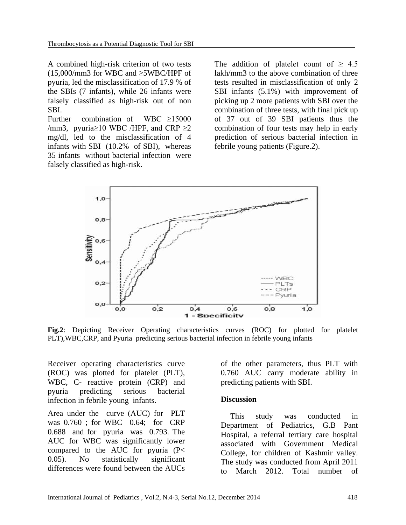A combined high-risk criterion of two tests (15,000/mm3 for WBC and ≥5WBC/HPF of pyuria, led the misclassification of 17.9 % of the SBIs (7 infants), while 26 infants were falsely classified as high-risk out of non SBI.

Further combination of WBC  $\geq 15000$ /mm3, pyuria≥10 WBC /HPF, and CRP  $\geq$ 2 mg/dl, led to the misclassification of 4 infants with SBI (10.2% of SBI), whereas 35 infants without bacterial infection were falsely classified as high-risk.

The addition of platelet count of  $\geq 4.5$ lakh/mm3 to the above combination of three tests resulted in misclassification of only 2 SBI infants (5.1%) with improvement of picking up 2 more patients with SBI over the combination of three tests, with final pick up of 37 out of 39 SBI patients thus the combination of four tests may help in early prediction of serious bacterial infection in febrile young patients (Figure.2).



**Fig.2**: Depicting Receiver Operating characteristics curves (ROC) for plotted for platelet PLT),WBC,CRP, and Pyuria predicting serious bacterial infection in febrile young infants

Receiver operating characteristics curve (ROC) was plotted for platelet (PLT), WBC, C- reactive protein (CRP) and pyuria predicting serious bacterial infection in febrile young infants.

Area under the curve (AUC) for PLT was 0.760 ; for WBC 0.64; for CRP 0.688 and for pyuria was 0.793. The AUC for WBC was significantly lower compared to the AUC for pyuria (P< 0.05). No statistically significant differences were found between the AUCs

of the other parameters, thus PLT with 0.760 AUC carry moderate ability in predicting patients with SBI.

### **Discussion**

This study was conducted in Department of Pediatrics, G.B Pant Hospital, a referral tertiary care hospital associated with Government Medical College, for children of Kashmir valley. The study was conducted from April 2011 to March 2012. Total number of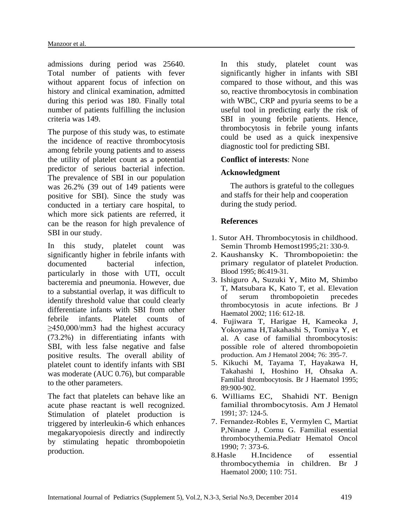admissions during period was 25640. Total number of patients with fever without apparent focus of infection on history and clinical examination, admitted during this period was 180. Finally total number of patients fulfilling the inclusion criteria was 149.

The purpose of this study was, to estimate the incidence of reactive thrombocytosis among febrile young patients and to assess the utility of platelet count as a potential predictor of serious bacterial infection. The prevalence of SBI in our population was 26.2% (39 out of 149 patients were positive for SBI). Since the study was conducted in a tertiary care hospital, to which more sick patients are referred, it can be the reason for high prevalence of SBI in our study.

In this study, platelet count was significantly higher in febrile infants with documented bacterial infection, particularly in those with UTI, occult bacteremia and pneumonia. However, due to a substantial overlap, it was difficult to identify threshold value that could clearly differentiate infants with SBI from other febrile infants. Platelet counts of ≥450,000/mm3 had the highest accuracy (73.2%) in differentiating infants with SBI, with less false negative and false positive results. The overall ability of platelet count to identify infants with SBI was moderate (AUC 0.76), but comparable to the other parameters.

The fact that platelets can behave like an acute phase reactant is well recognized. Stimulation of platelet production is triggered by interleukin-6 which enhances megakaryopoiesis directly and indirectly by stimulating hepatic thrombopoietin production.

In this study, platelet count was significantly higher in infants with SBI compared to those without, and this was so, reactive thrombocytosis in combination with WBC, CRP and pyuria seems to be a useful tool in predicting early the risk of SBI in young febrile patients. Hence, thrombocytosis in febrile young infants could be used as a quick inexpensive diagnostic tool for predicting SBI.

# **Conflict of interests**: None

# **Acknowledgment**

The authors is grateful to the collegues and staffs for their help and cooperation during the study period.

# **References**

- 1. Sutor AH. Thrombocytosis in childhood. Semin Thromb Hemost1995;21: 330-9.
- 2. Kaushansky K. Thrombopoietin: the primary regulator of platelet Production. Blood 1995; 86:419-31.
- 3. Ishiguro A, Suzuki Y, Mito M, Shimbo T, Matsubara K, Kato T, et al. Elevation of serum thrombopoietin precedes thrombocytosis in acute infections. Br J Haematol 2002; 116: 612-18.
- 4. Fujiwara T, Harigae H, Kameoka J, Yokoyama H,Takahashi S, Tomiya Y, et al. A case of familial thrombocytosis: possible role of altered thrombopoietin production. Am J Hematol 2004; 76: 395-7.
- 5. Kikuchi M, Tayama T, Hayakawa H, Takahashi I, Hoshino H, Ohsaka A. Familial thrombocytosis. Br J Haematol 1995; 89:900-902.
- 6. Williams EC, Shahidi NT. Benign familial thrombocytosis. Am J Hematol 1991; 37: 124-5.
- 7. Fernandez-Robles E, Vermylen C, Martiat P,Ninane J, Cornu G. Familial essential thrombocythemia.Pediatr Hematol Oncol  $1990 \cdot 7 \cdot 373 - 6$
- 8.Hasle H.Incidence of essential thrombocythemia in children. Br J Haematol 2000; 110: 751.